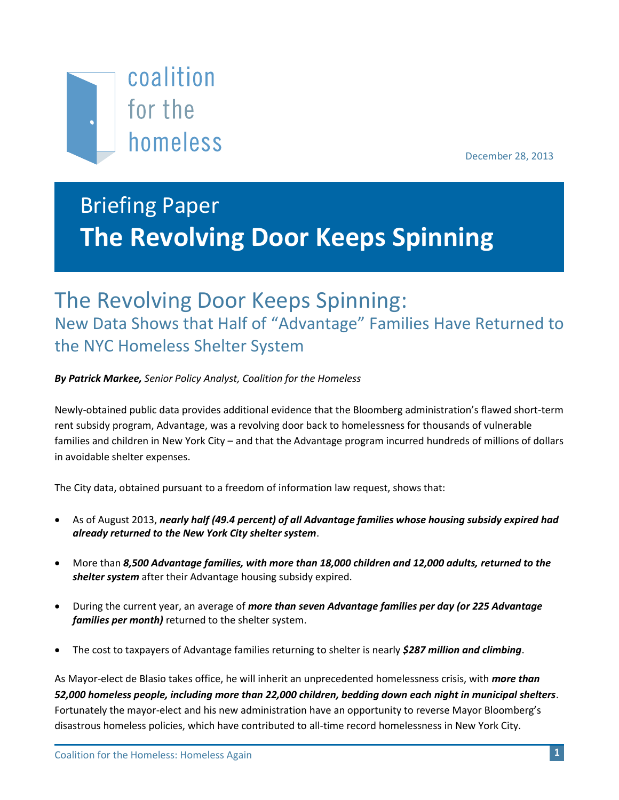

December 28, 2013

# Briefing Paper **The Revolving Door Keeps Spinning**

## The Revolving Door Keeps Spinning: New Data Shows that Half of "Advantage" Families Have Returned to the NYC Homeless Shelter System

*By Patrick Markee, Senior Policy Analyst, Coalition for the Homeless*

Newly-obtained public data provides additional evidence that the Bloomberg administration's flawed short-term rent subsidy program, Advantage, was a revolving door back to homelessness for thousands of vulnerable families and children in New York City – and that the Advantage program incurred hundreds of millions of dollars in avoidable shelter expenses.

The City data, obtained pursuant to a freedom of information law request, shows that:

- As of August 2013, *nearly half (49.4 percent) of all Advantage families whose housing subsidy expired had already returned to the New York City shelter system*.
- More than *8,500 Advantage families, with more than 18,000 children and 12,000 adults, returned to the shelter system* after their Advantage housing subsidy expired.
- During the current year, an average of *more than seven Advantage families per day (or 225 Advantage families per month)* returned to the shelter system.
- The cost to taxpayers of Advantage families returning to shelter is nearly *\$287 million and climbing*.

As Mayor-elect de Blasio takes office, he will inherit an unprecedented homelessness crisis, with *more than 52,000 homeless people, including more than 22,000 children, bedding down each night in municipal shelters*. Fortunately the mayor-elect and his new administration have an opportunity to reverse Mayor Bloomberg's disastrous homeless policies, which have contributed to all-time record homelessness in New York City.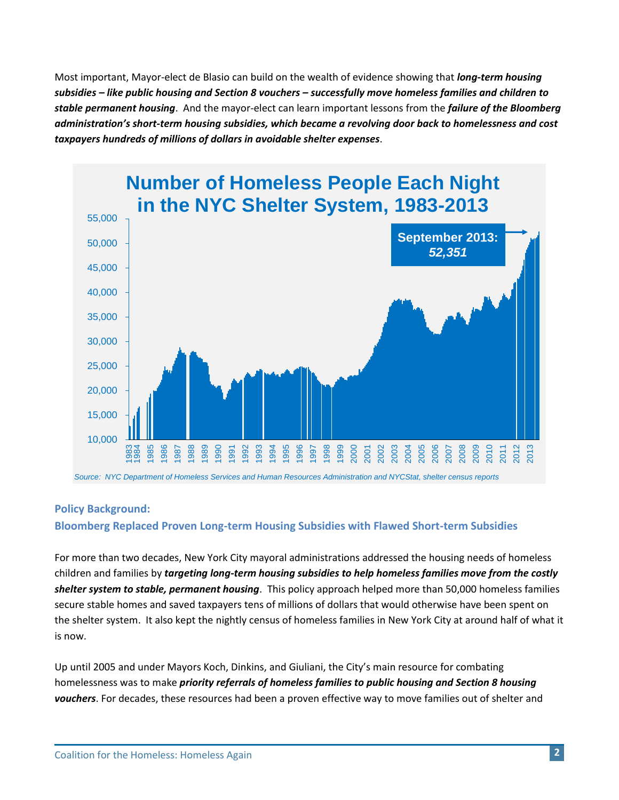Most important, Mayor-elect de Blasio can build on the wealth of evidence showing that *long-term housing subsidies – like public housing and Section 8 vouchers – successfully move homeless families and children to stable permanent housing*. And the mayor-elect can learn important lessons from the *failure of the Bloomberg administration's short-term housing subsidies, which became a revolving door back to homelessness and cost taxpayers hundreds of millions of dollars in avoidable shelter expenses*.



## **Policy Background:**

**Bloomberg Replaced Proven Long-term Housing Subsidies with Flawed Short-term Subsidies**

For more than two decades, New York City mayoral administrations addressed the housing needs of homeless children and families by *targeting long-term housing subsidies to help homeless families move from the costly shelter system to stable, permanent housing*. This policy approach helped more than 50,000 homeless families secure stable homes and saved taxpayers tens of millions of dollars that would otherwise have been spent on the shelter system. It also kept the nightly census of homeless families in New York City at around half of what it is now.

Up until 2005 and under Mayors Koch, Dinkins, and Giuliani, the City's main resource for combating homelessness was to make *priority referrals of homeless families to public housing and Section 8 housing vouchers*. For decades, these resources had been a proven effective way to move families out of shelter and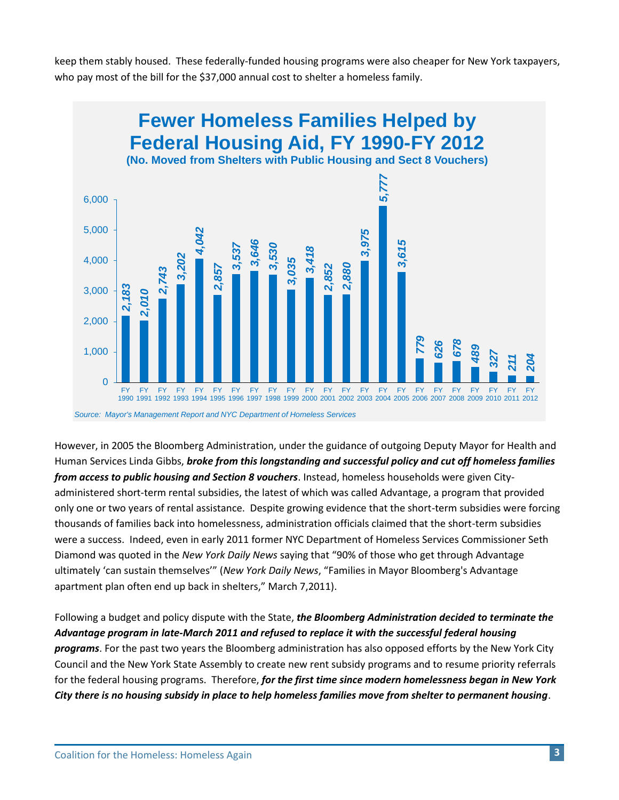keep them stably housed. These federally-funded housing programs were also cheaper for New York taxpayers, who pay most of the bill for the \$37,000 annual cost to shelter a homeless family.



However, in 2005 the Bloomberg Administration, under the guidance of outgoing Deputy Mayor for Health and Human Services Linda Gibbs, *broke from this longstanding and successful policy and cut off homeless families from access to public housing and Section 8 vouchers*. Instead, homeless households were given Cityadministered short-term rental subsidies, the latest of which was called Advantage, a program that provided only one or two years of rental assistance. Despite growing evidence that the short-term subsidies were forcing thousands of families back into homelessness, administration officials claimed that the short-term subsidies were a success. Indeed, even in early 2011 former NYC Department of Homeless Services Commissioner Seth Diamond was quoted in the *New York Daily News* saying that "90% of those who get through Advantage ultimately 'can sustain themselves'" (*New York Daily News*, "Families in Mayor Bloomberg's Advantage apartment plan often end up back in shelters," March 7,2011).

Following a budget and policy dispute with the State, *the Bloomberg Administration decided to terminate the Advantage program in late-March 2011 and refused to replace it with the successful federal housing programs*. For the past two years the Bloomberg administration has also opposed efforts by the New York City Council and the New York State Assembly to create new rent subsidy programs and to resume priority referrals for the federal housing programs. Therefore, *for the first time since modern homelessness began in New York*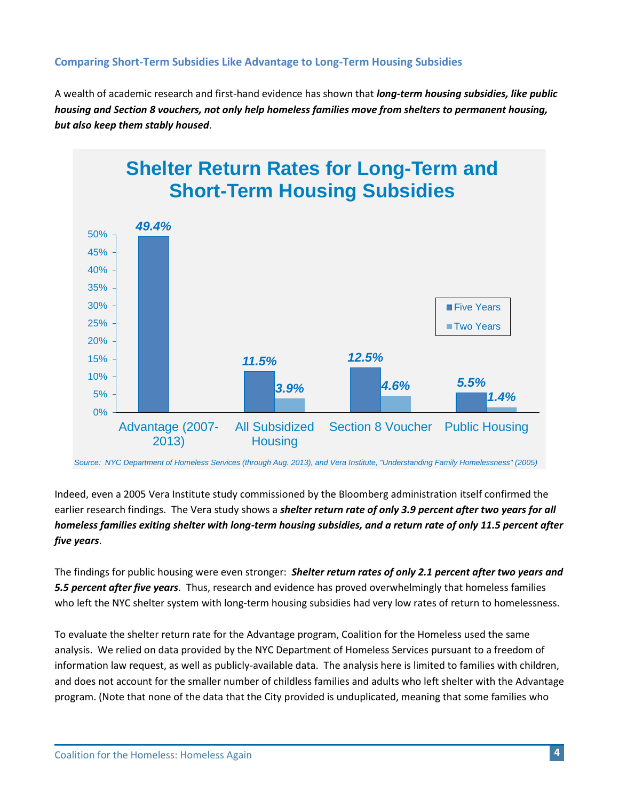## **Comparing Short-Term Subsidies Like Advantage to Long-Term Housing Subsidies**

A wealth of academic research and first-hand evidence has shown that *long-term housing subsidies, like public housing and Section 8 vouchers, not only help homeless families move from shelters to permanent housing, but also keep them stably housed*.



*Source: NYC Department of Homeless Services (through Aug. 2013), and Vera Institute, "Understanding Family Homelessness" (2005)*

Indeed, even a 2005 Vera Institute study commissioned by the Bloomberg administration itself confirmed the earlier research findings. The Vera study shows a *shelter return rate of only 3.9 percent after two years for all homeless families exiting shelter with long-term housing subsidies, and a return rate of only 11.5 percent after five years*.

The findings for public housing were even stronger: *Shelter return rates of only 2.1 percent after two years and 5.5 percent after five years*. Thus, research and evidence has proved overwhelmingly that homeless families who left the NYC shelter system with long-term housing subsidies had very low rates of return to homelessness.

To evaluate the shelter return rate for the Advantage program, Coalition for the Homeless used the same analysis. We relied on data provided by the NYC Department of Homeless Services pursuant to a freedom of information law request, as well as publicly-available data. The analysis here is limited to families with children, and does not account for the smaller number of childless families and adults who left shelter with the Advantage program. (Note that none of the data that the City provided is unduplicated, meaning that some families who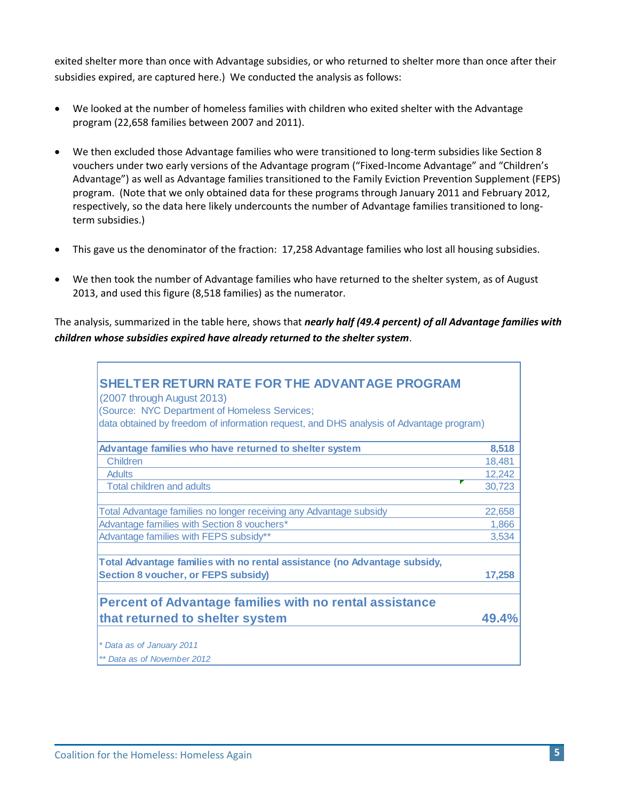exited shelter more than once with Advantage subsidies, or who returned to shelter more than once after their subsidies expired, are captured here.) We conducted the analysis as follows:

- We looked at the number of homeless families with children who exited shelter with the Advantage program (22,658 families between 2007 and 2011).
- We then excluded those Advantage families who were transitioned to long-term subsidies like Section 8 vouchers under two early versions of the Advantage program ("Fixed-Income Advantage" and "Children's Advantage") as well as Advantage families transitioned to the Family Eviction Prevention Supplement (FEPS) program. (Note that we only obtained data for these programs through January 2011 and February 2012, respectively, so the data here likely undercounts the number of Advantage families transitioned to longterm subsidies.)
- This gave us the denominator of the fraction: 17,258 Advantage families who lost all housing subsidies.
- We then took the number of Advantage families who have returned to the shelter system, as of August 2013, and used this figure (8,518 families) as the numerator.

The analysis, summarized in the table here, shows that *nearly half (49.4 percent) of all Advantage families with children whose subsidies expired have already returned to the shelter system*.

| SHELTER RETURN RATE FOR THE ADVANTAGE PROGRAM                                           |        |
|-----------------------------------------------------------------------------------------|--------|
| (2007 through August 2013)                                                              |        |
| (Source: NYC Department of Homeless Services;                                           |        |
| data obtained by freedom of information request, and DHS analysis of Advantage program) |        |
| Advantage families who have returned to shelter system                                  | 8,518  |
| Children                                                                                | 18,481 |
| <b>Adults</b>                                                                           | 12,242 |
| <b>Total children and adults</b>                                                        | 30,723 |
|                                                                                         |        |
| Total Advantage families no longer receiving any Advantage subsidy                      | 22,658 |
| Advantage families with Section 8 vouchers*                                             | 1,866  |
| Advantage families with FEPS subsidy**                                                  | 3,534  |
|                                                                                         |        |
| Total Advantage families with no rental assistance (no Advantage subsidy,               |        |
| <b>Section 8 voucher, or FEPS subsidy)</b>                                              | 17,258 |
|                                                                                         |        |
| <b>Percent of Advantage families with no rental assistance</b>                          |        |
| that returned to shelter system                                                         | 49.4%  |
|                                                                                         |        |
| * Data as of January 2011                                                               |        |
| ** Data as of November 2012                                                             |        |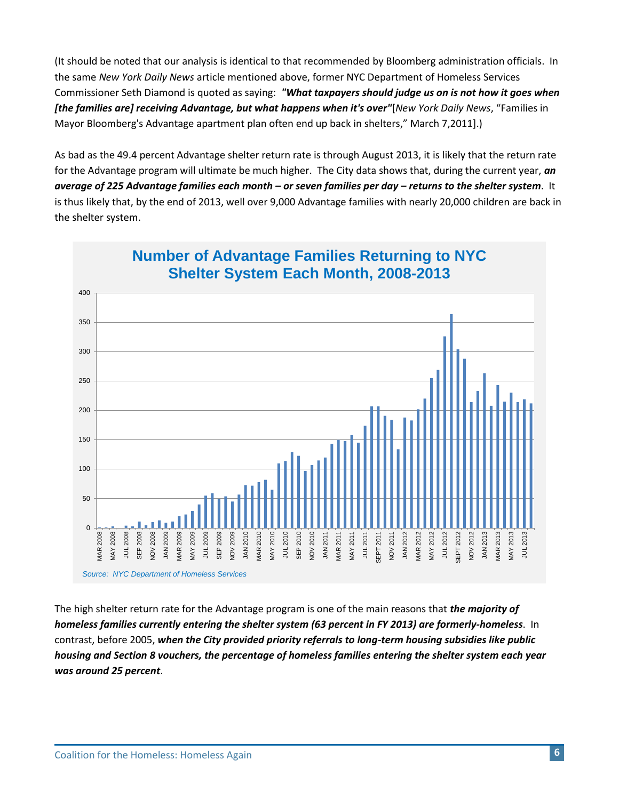(It should be noted that our analysis is identical to that recommended by Bloomberg administration officials. In the same *New York Daily News* article mentioned above, former NYC Department of Homeless Services Commissioner Seth Diamond is quoted as saying: *"What taxpayers should judge us on is not how it goes when [the families are] receiving Advantage, but what happens when it's over"*[*New York Daily News*, "Families in Mayor Bloomberg's Advantage apartment plan often end up back in shelters," March 7,2011].)

As bad as the 49.4 percent Advantage shelter return rate is through August 2013, it is likely that the return rate for the Advantage program will ultimate be much higher. The City data shows that, during the current year, *an average of 225 Advantage families each month – or seven families per day – returns to the shelter system*. It is thus likely that, by the end of 2013, well over 9,000 Advantage families with nearly 20,000 children are back in the shelter system.



## **Number of Advantage Families Returning to NYC Shelter System Each Month, 2008-2013**

The high shelter return rate for the Advantage program is one of the main reasons that *the majority of homeless families currently entering the shelter system (63 percent in FY 2013) are formerly-homeless*. In contrast, before 2005, *when the City provided priority referrals to long-term housing subsidies like public housing and Section 8 vouchers, the percentage of homeless families entering the shelter system each year was around 25 percent*.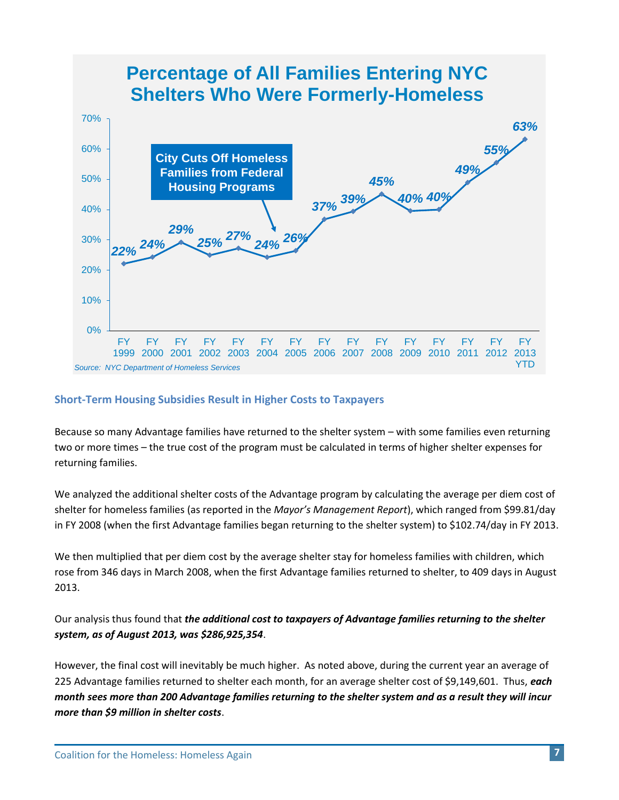

#### **Short-Term Housing Subsidies Result in Higher Costs to Taxpayers**

Because so many Advantage families have returned to the shelter system – with some families even returning two or more times – the true cost of the program must be calculated in terms of higher shelter expenses for returning families.

We analyzed the additional shelter costs of the Advantage program by calculating the average per diem cost of shelter for homeless families (as reported in the *Mayor's Management Report*), which ranged from \$99.81/day in FY 2008 (when the first Advantage families began returning to the shelter system) to \$102.74/day in FY 2013.

We then multiplied that per diem cost by the average shelter stay for homeless families with children, which rose from 346 days in March 2008, when the first Advantage families returned to shelter, to 409 days in August 2013.

Our analysis thus found that *the additional cost to taxpayers of Advantage families returning to the shelter system, as of August 2013, was \$286,925,354*.

However, the final cost will inevitably be much higher. As noted above, during the current year an average of 225 Advantage families returned to shelter each month, for an average shelter cost of \$9,149,601. Thus, *each month sees more than 200 Advantage families returning to the shelter system and as a result they will incur more than \$9 million in shelter costs*.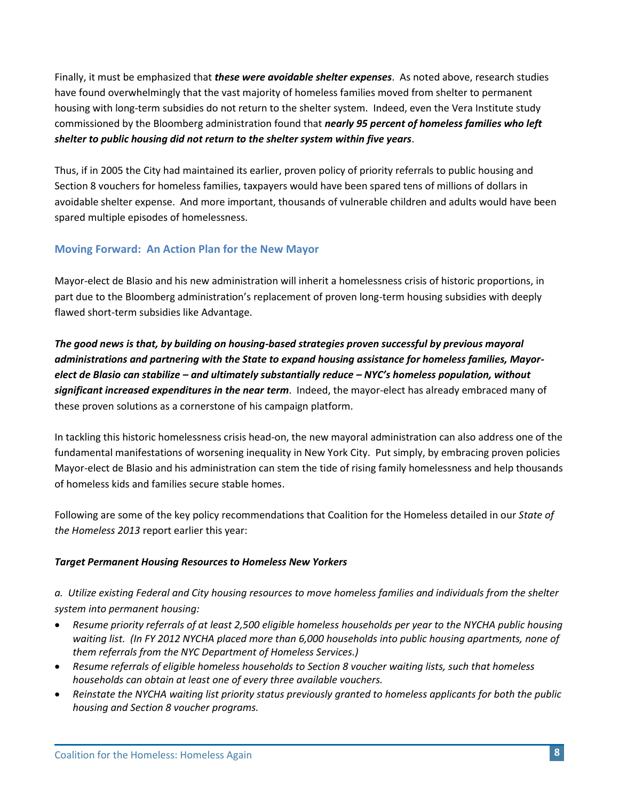Finally, it must be emphasized that *these were avoidable shelter expenses*. As noted above, research studies have found overwhelmingly that the vast majority of homeless families moved from shelter to permanent housing with long-term subsidies do not return to the shelter system. Indeed, even the Vera Institute study commissioned by the Bloomberg administration found that *nearly 95 percent of homeless families who left shelter to public housing did not return to the shelter system within five years*.

Thus, if in 2005 the City had maintained its earlier, proven policy of priority referrals to public housing and Section 8 vouchers for homeless families, taxpayers would have been spared tens of millions of dollars in avoidable shelter expense. And more important, thousands of vulnerable children and adults would have been spared multiple episodes of homelessness.

## **Moving Forward: An Action Plan for the New Mayor**

Mayor-elect de Blasio and his new administration will inherit a homelessness crisis of historic proportions, in part due to the Bloomberg administration's replacement of proven long-term housing subsidies with deeply flawed short-term subsidies like Advantage.

*The good news is that, by building on housing-based strategies proven successful by previous mayoral administrations and partnering with the State to expand housing assistance for homeless families, Mayorelect de Blasio can stabilize – and ultimately substantially reduce – NYC's homeless population, without significant increased expenditures in the near term*. Indeed, the mayor-elect has already embraced many of these proven solutions as a cornerstone of his campaign platform.

In tackling this historic homelessness crisis head-on, the new mayoral administration can also address one of the fundamental manifestations of worsening inequality in New York City. Put simply, by embracing proven policies Mayor-elect de Blasio and his administration can stem the tide of rising family homelessness and help thousands of homeless kids and families secure stable homes.

Following are some of the key policy recommendations that Coalition for the Homeless detailed in our *State of the Homeless 2013* report earlier this year:

## *Target Permanent Housing Resources to Homeless New Yorkers*

*a. Utilize existing Federal and City housing resources to move homeless families and individuals from the shelter system into permanent housing:*

- *Resume priority referrals of at least 2,500 eligible homeless households per year to the NYCHA public housing waiting list. (In FY 2012 NYCHA placed more than 6,000 households into public housing apartments, none of them referrals from the NYC Department of Homeless Services.)*
- *Resume referrals of eligible homeless households to Section 8 voucher waiting lists, such that homeless households can obtain at least one of every three available vouchers.*
- *Reinstate the NYCHA waiting list priority status previously granted to homeless applicants for both the public housing and Section 8 voucher programs.*